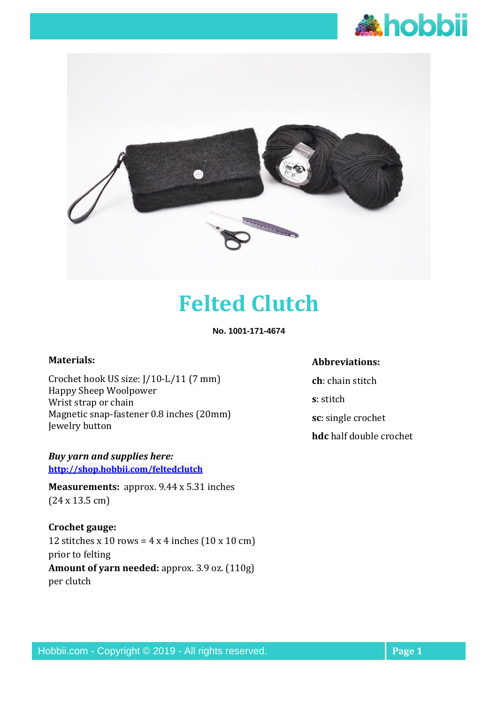



# **Felted Clutch**

**No. 1001-171-4674**

#### **Materials:**

Crochet hook US size: J/10-L/11 (7 mm) Happy Sheep Woolpower Wrist strap or chain Magnetic snap-fastener 0.8 inches (20mm) Jewelry button

*Buy yarn and supplies here:* **<http://shop.hobbii.com/feltedclutch>**

**Measurements:** approx. 9.44 x 5.31 inches (24 x 13.5 cm)

**Crochet gauge:**  12 stitches x 10 rows =  $4 \times 4$  inches  $(10 \times 10 \text{ cm})$ prior to felting **Amount of yarn needed:** approx. 3.9 oz. (110g) per clutch

# **Abbreviations:**

**ch**: chain stitch **s**: stitch **sc**: single crochet **hdc** half double crochet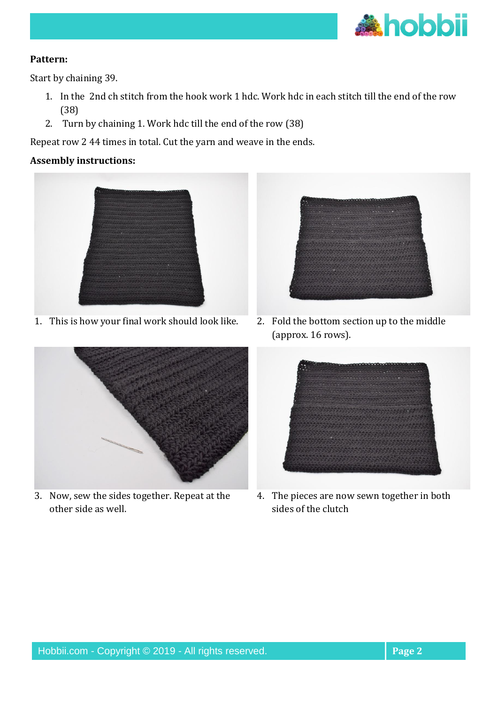

# **Pattern:**

Start by chaining 39.

- 1. In the 2nd ch stitch from the hook work 1 hdc. Work hdc in each stitch till the end of the row (38)
- 2. Turn by chaining 1. Work hdc till the end of the row (38)

Repeat row 2 44 times in total. Cut the yarn and weave in the ends.

# **Assembly instructions:**



1. This is how your final work should look like. 2. Fold the bottom section up to the middle



3. Now, sew the sides together. Repeat at the other side as well.



(approx. 16 rows).



4. The pieces are now sewn together in both sides of the clutch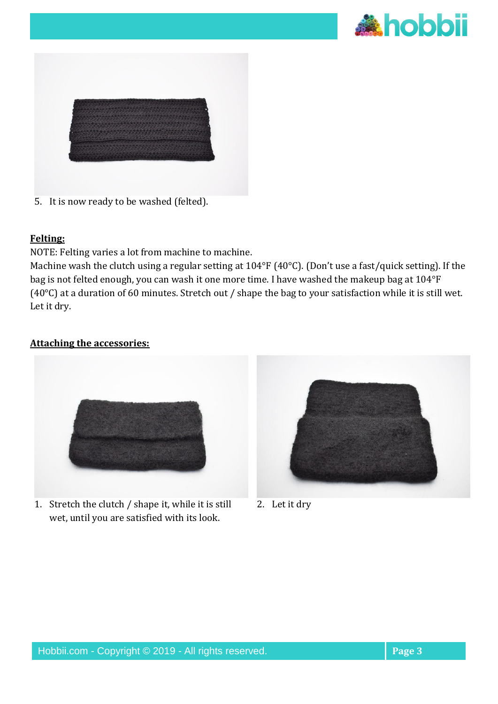



5. It is now ready to be washed (felted).

## **Felting:**

NOTE: Felting varies a lot from machine to machine.

Machine wash the clutch using a regular setting at 104°F (40°C). (Don't use a fast/quick setting). If the bag is not felted enough, you can wash it one more time. I have washed the makeup bag at 104°F (40°C) at a duration of 60 minutes. Stretch out / shape the bag to your satisfaction while it is still wet. Let it dry.

# **Attaching the accessories:**



1. Stretch the clutch / shape it, while it is still wet, until you are satisfied with its look.



2. Let it dry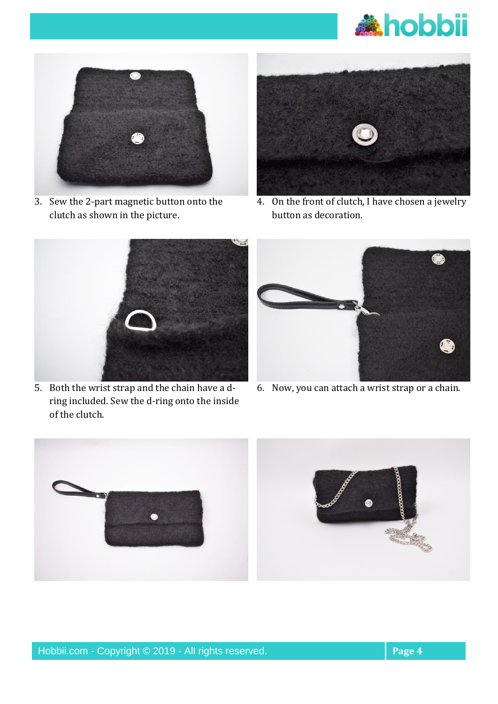



3. Sew the 2-part magnetic button onto the clutch as shown in the picture.



4. On the front of clutch, I have chosen a jewelry button as decoration.



5. Both the wrist strap and the chain have a dring included. Sew the d-ring onto the inside of the clutch.



6. Now, you can attach a wrist strap or a chain.